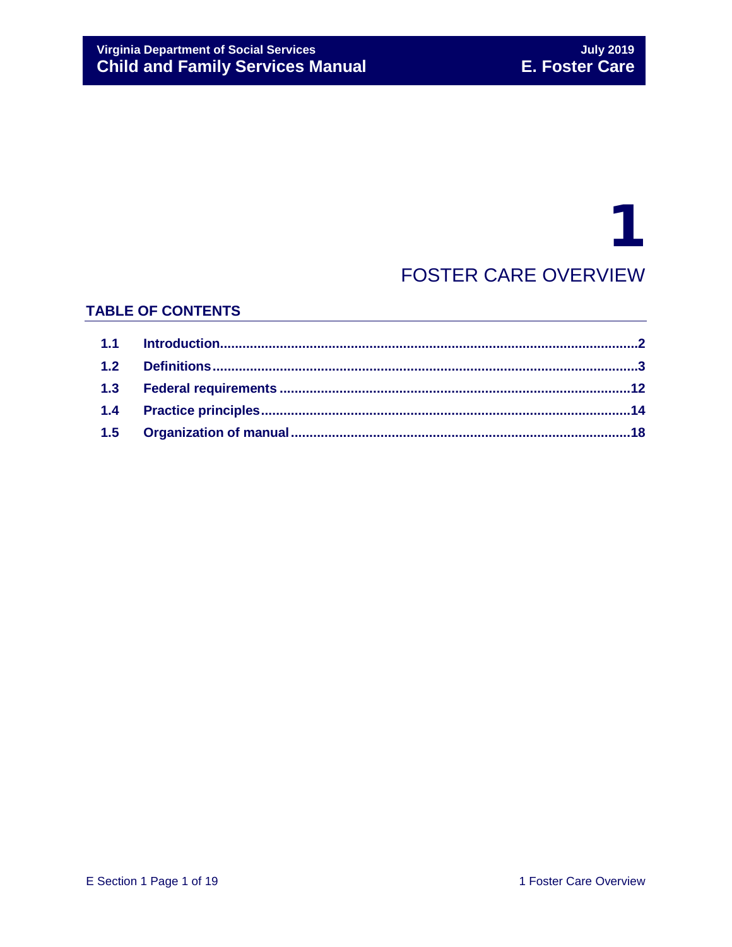# 1 FOSTER CARE OVERVIEW

## **TABLE OF CONTENTS**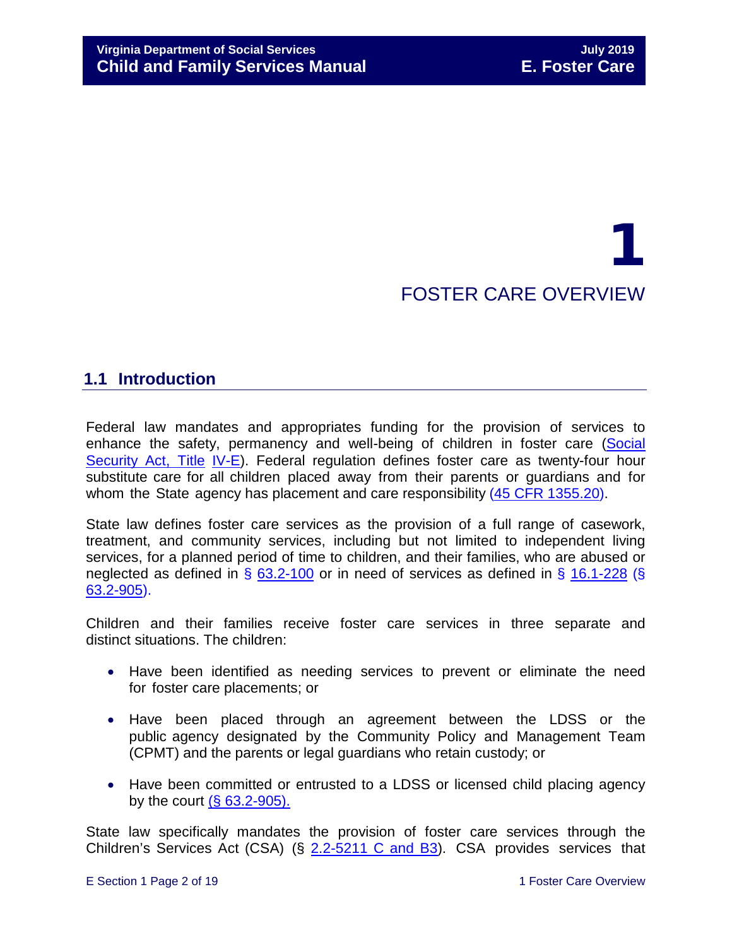# 1 FOSTER CARE OVERVIEW

# <span id="page-1-0"></span>**1.1 Introduction**

Federal law mandates and appropriates funding for the provision of services to enhance the safety, permanency and well-being of children in foster care [\(Social](http://www.ssa.gov/OP_Home/ssact/title04/0400.htm) [Security](http://www.ssa.gov/OP_Home/ssact/title04/0400.htm) Act, Title [IV-E\)](http://www.ssa.gov/OP_Home/ssact/title04/0400.htm). Federal regulation defines foster care as twenty-four hour substitute care for all children placed away from their parents or guardians and for whom the State agency has placement and care responsibility (45 [CFR 1355.20\)](http://edocket.access.gpo.gov/cfr_2002/octqtr/45cfr1355.20.htm).

State law defines foster care services as the provision of a full range of casework, treatment, and community services, including but not limited to independent living services, for a planned period of time to children, and their families, who are abused or neglected as defined in § [63.2-100](http://law.lis.virginia.gov/vacode/63.2-100/) or in need of services as defined in § [16.1-228](http://law.lis.virginia.gov/vacode/16.1-228/) (§ [63.2-905\)](https://law.lis.virginia.gov/vacode/63.2-905/).

Children and their families receive foster care services in three separate and distinct situations. The children:

- Have been identified as needing services to prevent or eliminate the need for foster care placements; or
- Have been placed through an agreement between the LDSS or the public agency designated by the Community Policy and Management Team (CPMT) and the parents or legal guardians who retain custody; or
- Have been committed or entrusted to a LDSS or licensed child placing agency by the court  $(**§** 63.2-905)$  $(**§** 63.2-905)$ .

State law specifically mandates the provision of foster care services through the Children's Services Act (CSA) (§ [2.2-5211 C and B3\)](https://vacode.org/2.2-5211/). CSA provides services that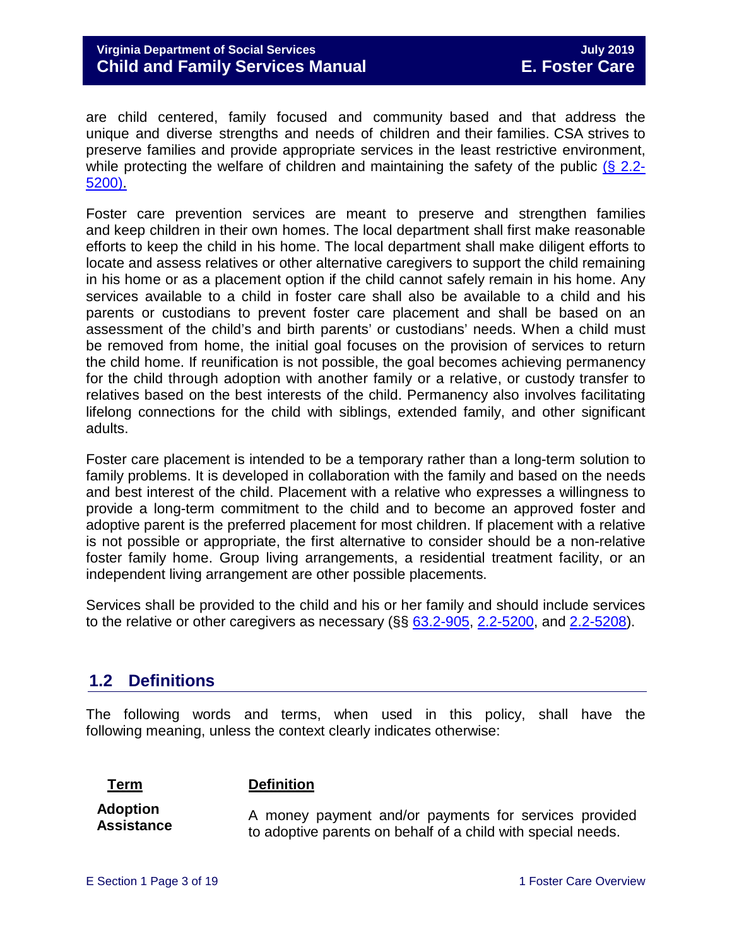are child centered, family focused and community based and that address the unique and diverse strengths and needs of children and their families. CSA strives to preserve families and provide appropriate services in the least restrictive environment, while protecting the welfare of children and maintaining the safety of the public  $(\S$  [2.2-](http://law.lis.virginia.gov/vacode/2.2-5200/) [5200\).](http://law.lis.virginia.gov/vacode/2.2-5200/)

Foster care prevention services are meant to preserve and strengthen families and keep children in their own homes. The local department shall first make reasonable efforts to keep the child in his home. The local department shall make diligent efforts to locate and assess relatives or other alternative caregivers to support the child remaining in his home or as a placement option if the child cannot safely remain in his home. Any services available to a child in foster care shall also be available to a child and his parents or custodians to prevent foster care placement and shall be based on an assessment of the child's and birth parents' or custodians' needs. When a child must be removed from home, the initial goal focuses on the provision of services to return the child home. If reunification is not possible, the goal becomes achieving permanency for the child through adoption with another family or a relative, or custody transfer to relatives based on the best interests of the child. Permanency also involves facilitating lifelong connections for the child with siblings, extended family, and other significant adults.

Foster care placement is intended to be a temporary rather than a long-term solution to family problems. It is developed in collaboration with the family and based on the needs and best interest of the child. Placement with a relative who expresses a willingness to provide a long-term commitment to the child and to become an approved foster and adoptive parent is the preferred placement for most children. If placement with a relative is not possible or appropriate, the first alternative to consider should be a non-relative foster family home. Group living arrangements, a residential treatment facility, or an independent living arrangement are other possible placements.

Services shall be provided to the child and his or her family and should include services to the relative or other caregivers as necessary  $(\S\S 63.2-905, 2.2-5200,$  $(\S\S 63.2-905, 2.2-5200,$  $(\S\S 63.2-905, 2.2-5200,$  and  $2.2-5208)$ .

# <span id="page-2-0"></span>**1.2 Definitions**

The following words and terms, when used in this policy, shall have the following meaning, unless the context clearly indicates otherwise:

#### **Term Definition**

**Adoption Assistance**

A money payment and/or payments for services provided to adoptive parents on behalf of a child with special needs.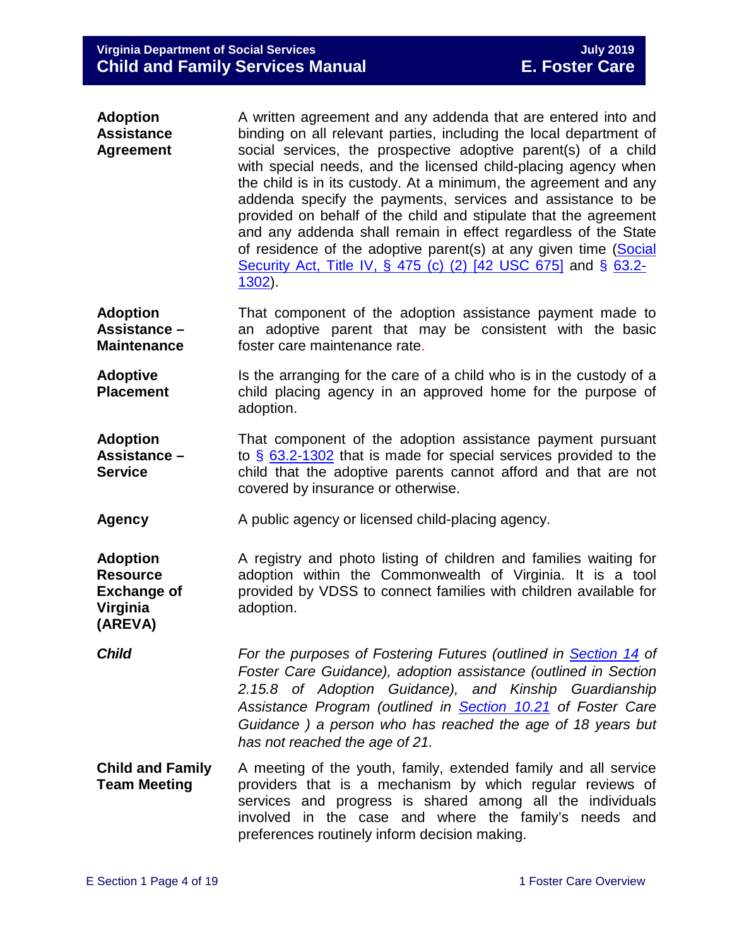| <b>Adoption</b>   | A written agreement and any addenda that are entered into and                                                                                                                                                                                                                                                                                        |
|-------------------|------------------------------------------------------------------------------------------------------------------------------------------------------------------------------------------------------------------------------------------------------------------------------------------------------------------------------------------------------|
| <b>Assistance</b> | binding on all relevant parties, including the local department of                                                                                                                                                                                                                                                                                   |
| <b>Agreement</b>  | social services, the prospective adoptive parent(s) of a child<br>with special needs, and the licensed child-placing agency when<br>the child is in its custody. At a minimum, the agreement and any                                                                                                                                                 |
|                   | addenda specify the payments, services and assistance to be<br>provided on behalf of the child and stipulate that the agreement<br>and any addenda shall remain in effect regardless of the State<br>of residence of the adoptive parent(s) at any given time (Social<br>Security Act, Title IV, § 475 (c) (2) [42 USC 675] and § 63.2-<br>$1302$ ). |

- **Adoption Assistance – Maintenance** That component of the adoption assistance payment made to an adoptive parent that may be consistent with the basic foster care maintenance rate.
- **Adoptive Placement** Is the arranging for the care of a child who is in the custody of a child placing agency in an approved home for the purpose of adoption.
- **Adoption Assistance – Service** That component of the adoption assistance payment pursuant to § [63.2-1302](http://law.lis.virginia.gov/vacode/63.2-1302/) that is made for special services provided to the child that the adoptive parents cannot afford and that are not covered by insurance or otherwise.
- **Agency** A public agency or licensed child-placing agency.

**Adoption Resource Exchange of Virginia (AREVA)** A registry and photo listing of children and families waiting for adoption within the Commonwealth of Virginia. It is a tool provided by VDSS to connect families with children available for adoption.

- *Child For the purposes of Fostering Futures (outlined in [Section 14](https://fusion.dss.virginia.gov/Portals/%5bdfs%5d/Files/DFS%20Manuals/Foster%20Care%20Manuals/Foster%20Care%20Manual%2007-2019/section_14_Fostering_Futures.pdf#page=4) of Foster Care Guidance), adoption assistance (outlined in Section 2.15.8 of Adoption Guidance), and Kinship Guardianship Assistance Program (outlined in [Section 10.21](https://fusion.dss.virginia.gov/Portals/%5bdfs%5d/Files/DFS%20Manuals/Foster%20Care%20Manuals/Foster%20Care%20Manual%2007-2019/section_10_achieving_permanency_goal_custody_transfer_to_relatives.pdf#page=69) of Foster Care Guidance ) a person who has reached the age of 18 years but has not reached the age of 21.*
- **Child and Family Team Meeting** A meeting of the youth, family, extended family and all service providers that is a mechanism by which regular reviews of services and progress is shared among all the individuals involved in the case and where the family's needs and preferences routinely inform decision making.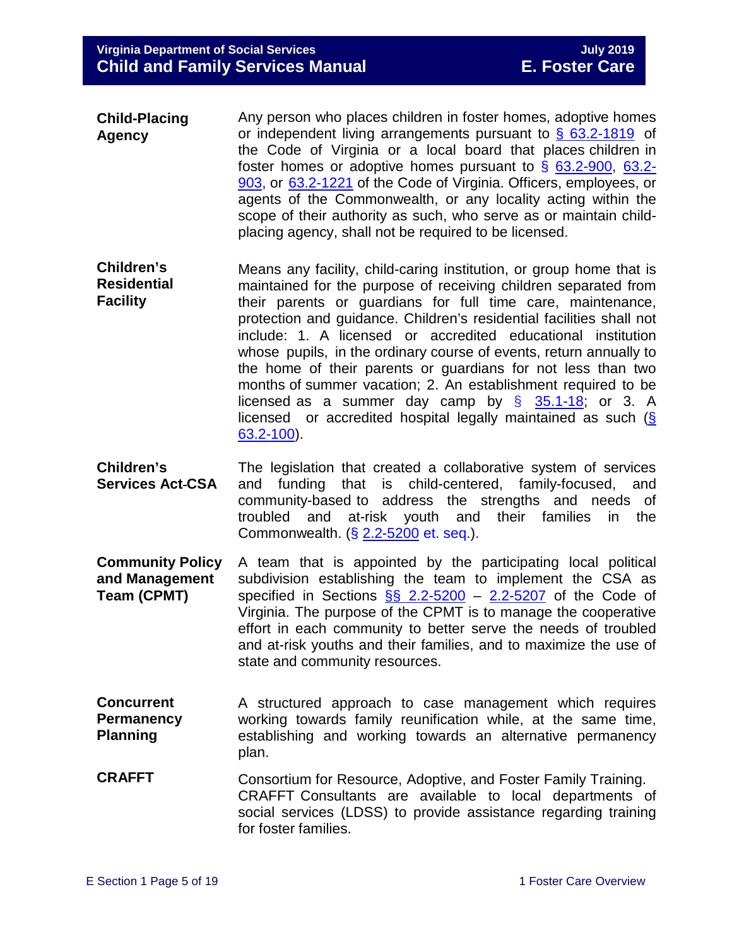- **Child-Placing Agency** Any person who places children in foster homes, adoptive homes or independent living arrangements pursuant to  $\frac{6}{9}$  [63.2-1819](http://law.lis.virginia.gov/vacode/63.2-1819/) of the Code of Virginia or a local board that places children in foster homes or adoptive homes pursuant to § [63.2-900,](http://law.lis.virginia.gov/vacode/63.2-900/) [63.2-](http://law.lis.virginia.gov/vacode/63.2-903/) [903,](http://law.lis.virginia.gov/vacode/63.2-903/) or [63.2-1221](http://law.lis.virginia.gov/vacode/63.2-1221/) of the Code of Virginia. Officers, employees, or agents of the Commonwealth, or any locality acting within the scope of their authority as such, who serve as or maintain childplacing agency, shall not be required to be licensed.
- licensed as a summer day camp by  $\S$  [35.1-18;](http://law.lis.virginia.gov/vacode/35.1-18/) or 3. A **Children's Residential Facility** Means any facility, child-caring institution, or group home that is maintained for the purpose of receiving children separated from their parents or guardians for full time care, maintenance, protection and guidance. Children's residential facilities shall not include: 1. A licensed or accredited educational institution whose pupils, in the ordinary course of events, return annually to the home of their parents or guardians for not less than two months of summer vacation; 2. An establishment required to be licensed or accredited hospital legally maintained as such [\(§](http://law.lis.virginia.gov/vacode/63.2-100/) [63.2-100\)](http://law.lis.virginia.gov/vacode/63.2-100/).
- **Children's Services Act CSA** The legislation that created a collaborative system of services and funding that is child-centered, family-focused, and community-based to address the strengths and needs of troubled and at-risk youth and their families in the Commonwealth. (§ [2.2-5200](http://law.lis.virginia.gov/vacode/2.2-5200/) et. seq.).
- **Community Policy and Management Team (CPMT)** A team that is appointed by the participating local political subdivision establishing the team to implement the CSA as specified in Sections  $\S$  2.2-5200 – [2.2-5207](http://law.lis.virginia.gov/vacode/2.2-5207/) of the Code of Virginia. The purpose of the CPMT is to manage the cooperative effort in each community to better serve the needs of troubled and at-risk youths and their families, and to maximize the use of state and community resources.
- **Concurrent Permanency Planning** A structured approach to case management which requires working towards family reunification while, at the same time, establishing and working towards an alternative permanency plan.
- **CRAFFT** Consortium for Resource, Adoptive, and Foster Family Training. CRAFFT Consultants are available to local departments of social services (LDSS) to provide assistance regarding training for foster families.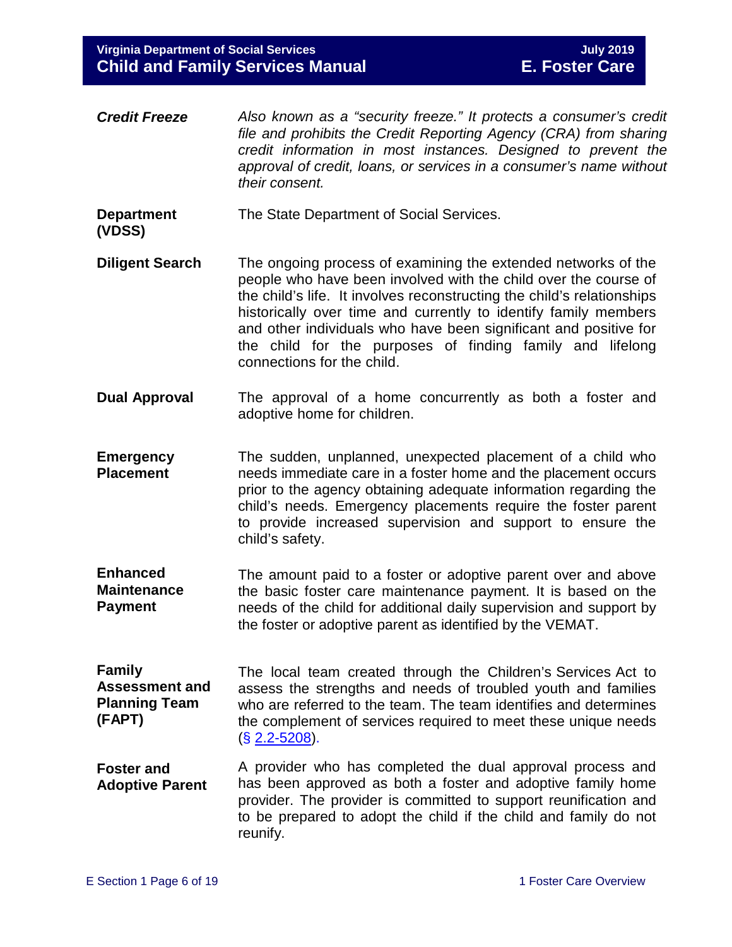**Virginia Department of Social Services July 2019 Child and Family Services Manual** 

- *Credit Freeze Also known as a "security freeze." It protects a consumer's credit file and prohibits the Credit Reporting Agency (CRA) from sharing credit information in most instances. Designed to prevent the approval of credit, loans, or services in a consumer's name without their consent.*
- **Department** The State Department of Social Services.

**(VDSS)**

- **Diligent Search** The ongoing process of examining the extended networks of the people who have been involved with the child over the course of the child's life. It involves reconstructing the child's relationships historically over time and currently to identify family members and other individuals who have been significant and positive for the child for the purposes of finding family and lifelong connections for the child.
- **Dual Approval** The approval of a home concurrently as both a foster and adoptive home for children.
- **Emergency Placement** The sudden, unplanned, unexpected placement of a child who needs immediate care in a foster home and the placement occurs prior to the agency obtaining adequate information regarding the child's needs. Emergency placements require the foster parent to provide increased supervision and support to ensure the child's safety.
- **Enhanced Maintenance Payment** The amount paid to a foster or adoptive parent over and above the basic foster care maintenance payment. It is based on the needs of the child for additional daily supervision and support by the foster or adoptive parent as identified by the VEMAT.
- **Family Assessment and Planning Team (FAPT)** The local team created through the Children's Services Act to assess the strengths and needs of troubled youth and families who are referred to the team. The team identifies and determines the complement of services required to meet these unique needs (§ [2.2-5208\)](http://law.lis.virginia.gov/vacode/2.2-5208/).
- **Foster and Adoptive Parent** A provider who has completed the dual approval process and has been approved as both a foster and adoptive family home provider. The provider is committed to support reunification and to be prepared to adopt the child if the child and family do not reunify.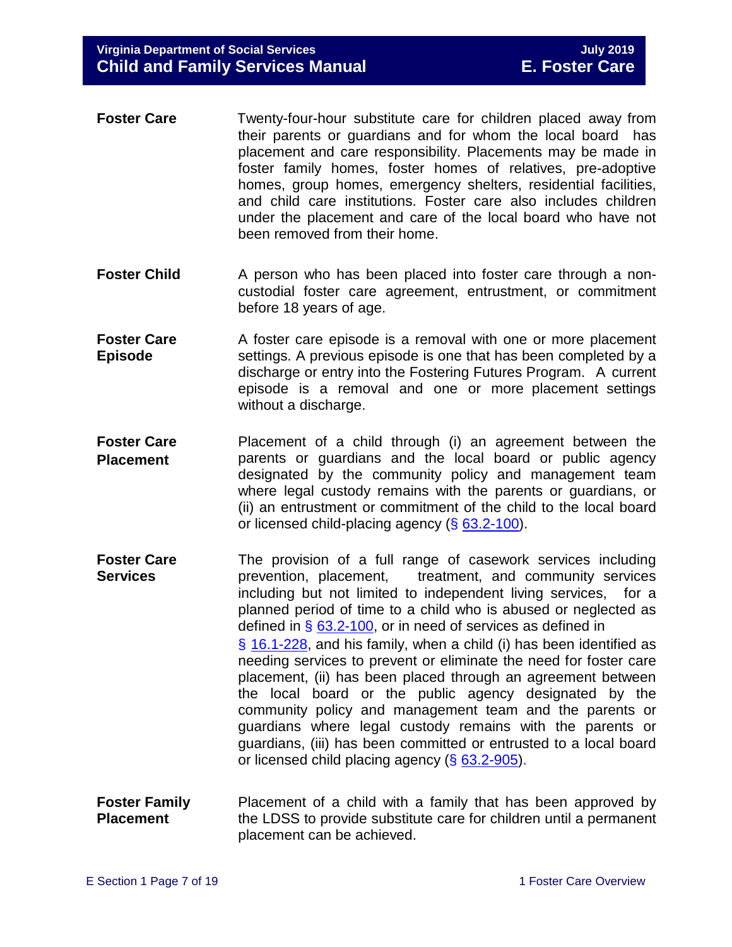- **Foster Care Twenty-four-hour substitute care for children placed away from** their parents or guardians and for whom the local board has placement and care responsibility. Placements may be made in foster family homes, foster homes of relatives, pre-adoptive homes, group homes, emergency shelters, residential facilities, and child care institutions. Foster care also includes children under the placement and care of the local board who have not been removed from their home.
- **Foster Child** A person who has been placed into foster care through a noncustodial foster care agreement, entrustment, or commitment before 18 years of age.
- **Foster Care Episode** A foster care episode is a removal with one or more placement settings. A previous episode is one that has been completed by a discharge or entry into the Fostering Futures Program. A current episode is a removal and one or more placement settings without a discharge.
- **Foster Care Placement** Placement of a child through (i) an agreement between the parents or guardians and the local board or public agency designated by the community policy and management team where legal custody remains with the parents or guardians, or (ii) an entrustment or commitment of the child to the local board or licensed child-placing agency (§ [63.2-100\)](http://law.lis.virginia.gov/vacode/63.2-100/).
- **Foster Care Services** The provision of a full range of casework services including prevention, placement, treatment, and community services including but not limited to independent living services, for a planned period of time to a child who is abused or neglected as defined in § [63.2-100,](http://law.lis.virginia.gov/vacode/63.2-100/) or in need of services as defined in § [16.1-228,](http://law.lis.virginia.gov/vacode/16.1-228/) and his family, when a child (i) has been identified as needing services to prevent or eliminate the need for foster care placement, (ii) has been placed through an agreement between the local board or the public agency designated by the community policy and management team and the parents or guardians where legal custody remains with the parents or guardians, (iii) has been committed or entrusted to a local board or licensed child placing agency (§ [63.2-905\)](http://law.lis.virginia.gov/vacode/63.2-905/).
- **Foster Family Placement** Placement of a child with a family that has been approved by the LDSS to provide substitute care for children until a permanent placement can be achieved.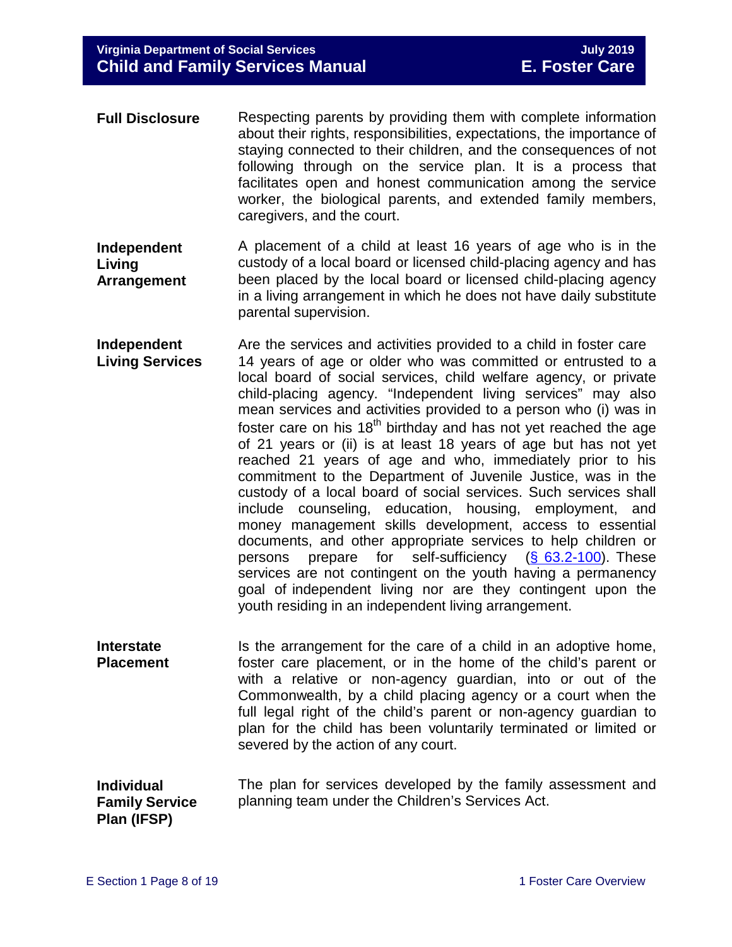- **Full Disclosure** Respecting parents by providing them with complete information about their rights, responsibilities, expectations, the importance of staying connected to their children, and the consequences of not following through on the service plan. It is a process that facilitates open and honest communication among the service worker, the biological parents, and extended family members, caregivers, and the court.
- **Independent Living Arrangement** A placement of a child at least 16 years of age who is in the custody of a local board or licensed child-placing agency and has been placed by the local board or licensed child-placing agency in a living arrangement in which he does not have daily substitute parental supervision.
- **Independent Living Services** Are the services and activities provided to a child in foster care 14 years of age or older who was committed or entrusted to a local board of social services, child welfare agency, or private child-placing agency. "Independent living services" may also mean services and activities provided to a person who (i) was in foster care on his  $18<sup>th</sup>$  birthday and has not yet reached the age of 21 years or (ii) is at least 18 years of age but has not yet reached 21 years of age and who, immediately prior to his commitment to the Department of Juvenile Justice, was in the custody of a local board of social services. Such services shall include counseling, education, housing, employment, and money management skills development, access to essential documents, and other appropriate services to help children or persons prepare for self-sufficiency [\(§ 63.2-100\)](http://law.lis.virginia.gov/vacode/63.2-100/). These services are not contingent on the youth having a permanency goal of independent living nor are they contingent upon the youth residing in an independent living arrangement.
- **Interstate Placement** Is the arrangement for the care of a child in an adoptive home, foster care placement, or in the home of the child's parent or with a relative or non-agency guardian, into or out of the Commonwealth, by a child placing agency or a court when the full legal right of the child's parent or non-agency guardian to plan for the child has been voluntarily terminated or limited or severed by the action of any court.
- **Individual Family Service Plan (IFSP)** The plan for services developed by the family assessment and planning team under the Children's Services Act.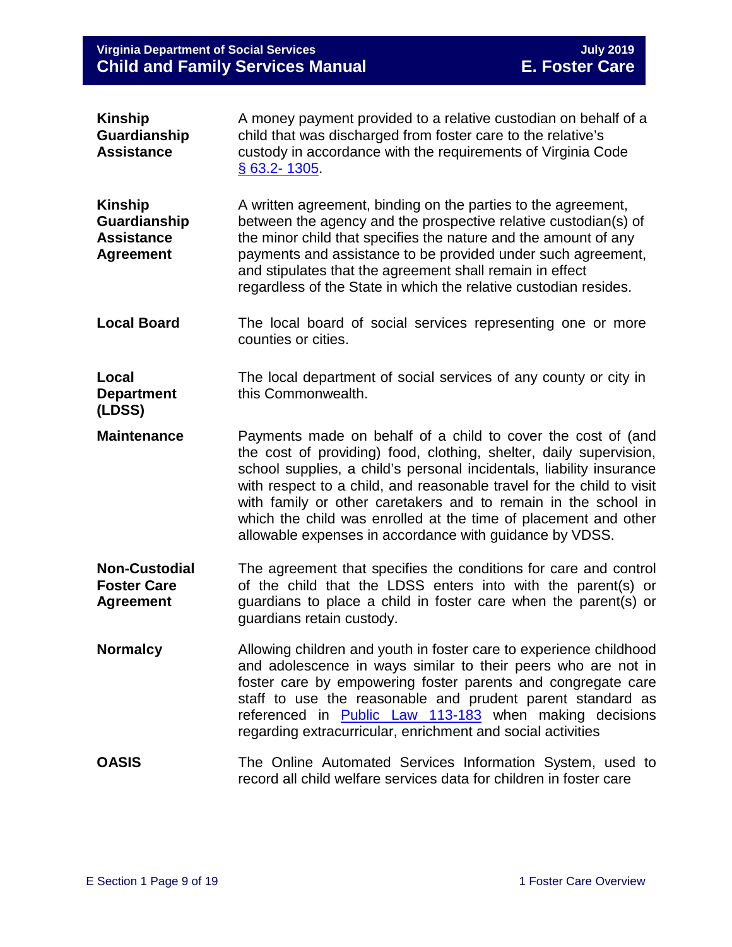## **Virginia Department of Social Services July 2019 Child and Family Services Manual E. Foster Care**

| <b>Kinship</b><br>Guardianship<br><b>Assistance</b>                     | A money payment provided to a relative custodian on behalf of a<br>child that was discharged from foster care to the relative's<br>custody in accordance with the requirements of Virginia Code<br><u>§ 63.2-1305</u> .                                                                                                                                                                                                                                                             |
|-------------------------------------------------------------------------|-------------------------------------------------------------------------------------------------------------------------------------------------------------------------------------------------------------------------------------------------------------------------------------------------------------------------------------------------------------------------------------------------------------------------------------------------------------------------------------|
| <b>Kinship</b><br>Guardianship<br><b>Assistance</b><br><b>Agreement</b> | A written agreement, binding on the parties to the agreement,<br>between the agency and the prospective relative custodian(s) of<br>the minor child that specifies the nature and the amount of any<br>payments and assistance to be provided under such agreement,<br>and stipulates that the agreement shall remain in effect<br>regardless of the State in which the relative custodian resides.                                                                                 |
| <b>Local Board</b>                                                      | The local board of social services representing one or more<br>counties or cities.                                                                                                                                                                                                                                                                                                                                                                                                  |
| Local<br><b>Department</b><br>(LDSS)                                    | The local department of social services of any county or city in<br>this Commonwealth.                                                                                                                                                                                                                                                                                                                                                                                              |
| <b>Maintenance</b>                                                      | Payments made on behalf of a child to cover the cost of (and<br>the cost of providing) food, clothing, shelter, daily supervision,<br>school supplies, a child's personal incidentals, liability insurance<br>with respect to a child, and reasonable travel for the child to visit<br>with family or other caretakers and to remain in the school in<br>which the child was enrolled at the time of placement and other<br>allowable expenses in accordance with guidance by VDSS. |
| <b>Non-Custodial</b><br><b>Foster Care</b><br><b>Agreement</b>          | The agreement that specifies the conditions for care and control<br>of the child that the LDSS enters into with the parent(s) or<br>guardians to place a child in foster care when the parent(s) or<br>guardians retain custody.                                                                                                                                                                                                                                                    |
| <b>Normalcy</b>                                                         | Allowing children and youth in foster care to experience childhood<br>and adolescence in ways similar to their peers who are not in<br>foster care by empowering foster parents and congregate care<br>staff to use the reasonable and prudent parent standard as<br>referenced in Public Law 113-183 when making decisions<br>regarding extracurricular, enrichment and social activities                                                                                          |
| <b>OASIS</b>                                                            | The Online Automated Services Information System, used to<br>record all child welfare services data for children in foster care                                                                                                                                                                                                                                                                                                                                                     |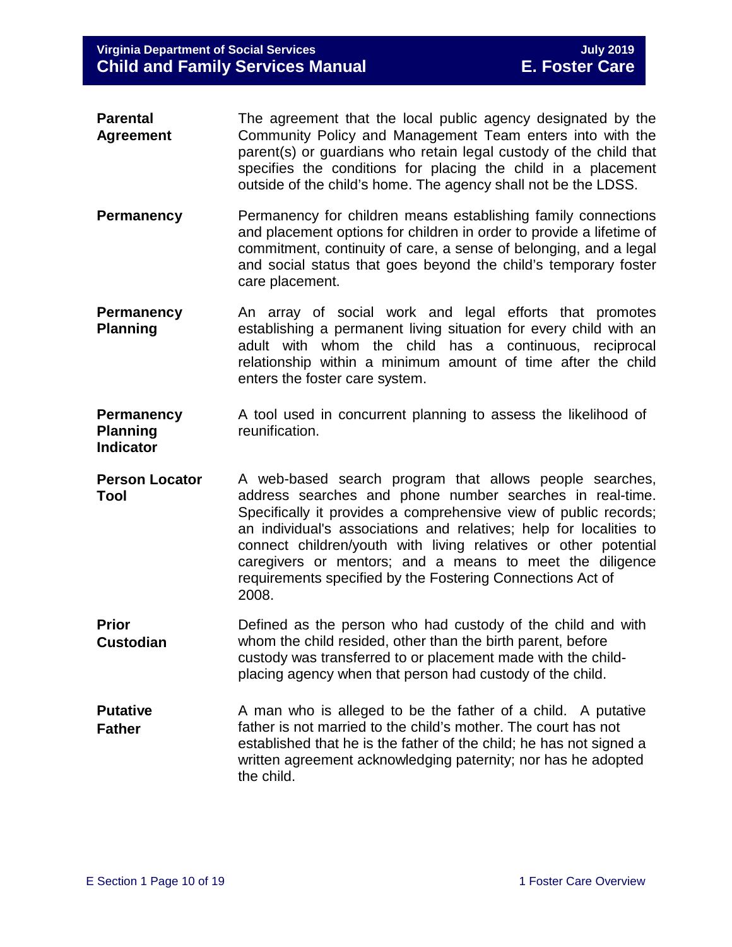- **Parental Agreement** The agreement that the local public agency designated by the Community Policy and Management Team enters into with the parent(s) or guardians who retain legal custody of the child that specifies the conditions for placing the child in a placement outside of the child's home. The agency shall not be the LDSS.
- **Permanency** Permanency for children means establishing family connections and placement options for children in order to provide a lifetime of commitment, continuity of care, a sense of belonging, and a legal and social status that goes beyond the child's temporary foster care placement.
- **Permanency Planning** An array of social work and legal efforts that promotes establishing a permanent living situation for every child with an adult with whom the child has a continuous, reciprocal relationship within a minimum amount of time after the child enters the foster care system.
- **Permanency Planning**  A tool used in concurrent planning to assess the likelihood of reunification.

**Indicator**

- **Person Locator Tool** A web-based search program that allows people searches, address searches and phone number searches in real-time. Specifically it provides a comprehensive view of public records; an individual's associations and relatives; help for localities to connect children/youth with living relatives or other potential caregivers or mentors; and a means to meet the diligence requirements specified by the Fostering Connections Act of 2008.
- **Prior Custodian** Defined as the person who had custody of the child and with whom the child resided, other than the birth parent, before custody was transferred to or placement made with the childplacing agency when that person had custody of the child.
- **Putative Father** A man who is alleged to be the father of a child. A putative father is not married to the child's mother. The court has not established that he is the father of the child; he has not signed a written agreement acknowledging paternity; nor has he adopted the child.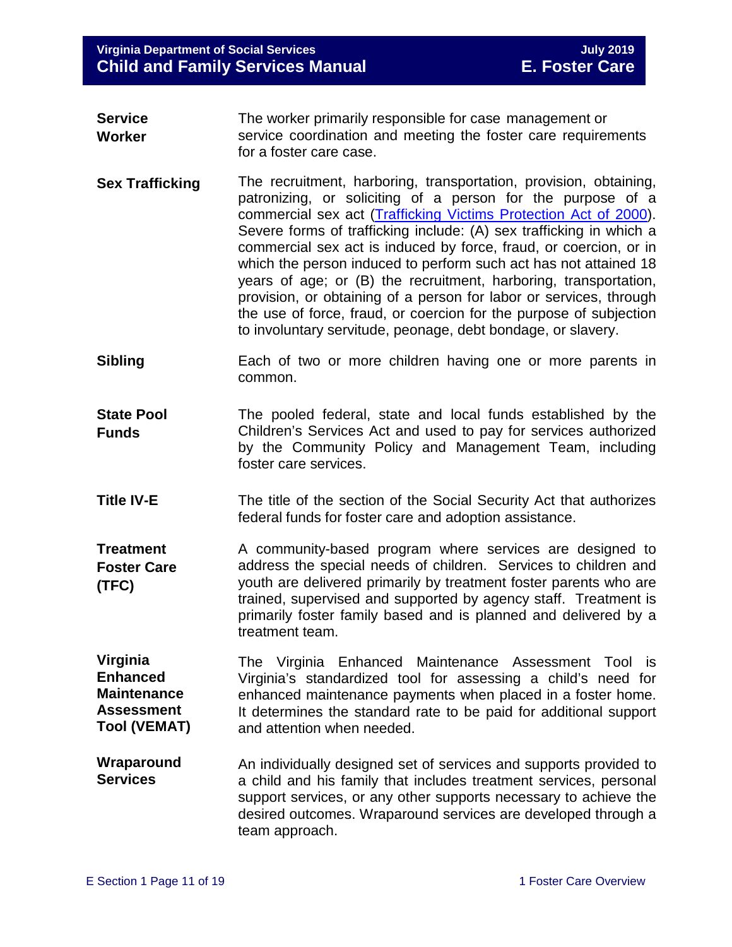- **Service Worker** The worker primarily responsible for case management or service coordination and meeting the foster care requirements for a foster care case.
- **Sex Trafficking** The recruitment, harboring, transportation, provision, obtaining, patronizing, or soliciting of a person for the purpose of a commercial sex act [\(Trafficking Victims Protection Act of 2000\)](https://www.state.gov/j/tip/laws/61124.htm). Severe forms of trafficking include: (A) sex trafficking in which a commercial sex act is induced by force, fraud, or coercion, or in which the person induced to perform such act has not attained 18 years of age; or (B) the recruitment, harboring, transportation, provision, or obtaining of a person for labor or services, through the use of force, fraud, or coercion for the purpose of subjection to involuntary servitude, peonage, debt bondage, or slavery.
- **Sibling** Each of two or more children having one or more parents in common.
- **State Pool Funds** The pooled federal, state and local funds established by the Children's Services Act and used to pay for services authorized by the Community Policy and Management Team, including foster care services.
- **Title IV-E** The title of the section of the Social Security Act that authorizes federal funds for foster care and adoption assistance.

**Treatment Foster Care (TFC)** A community-based program where services are designed to address the special needs of children. Services to children and youth are delivered primarily by treatment foster parents who are trained, supervised and supported by agency staff. Treatment is primarily foster family based and is planned and delivered by a treatment team.

**Virginia Enhanced Maintenance Assessment Tool (VEMAT)**

The Virginia Enhanced Maintenance Assessment Tool is Virginia's standardized tool for assessing a child's need for enhanced maintenance payments when placed in a foster home. It determines the standard rate to be paid for additional support and attention when needed.

**Wraparound Services** An individually designed set of services and supports provided to a child and his family that includes treatment services, personal support services, or any other supports necessary to achieve the desired outcomes. Wraparound services are developed through a team approach.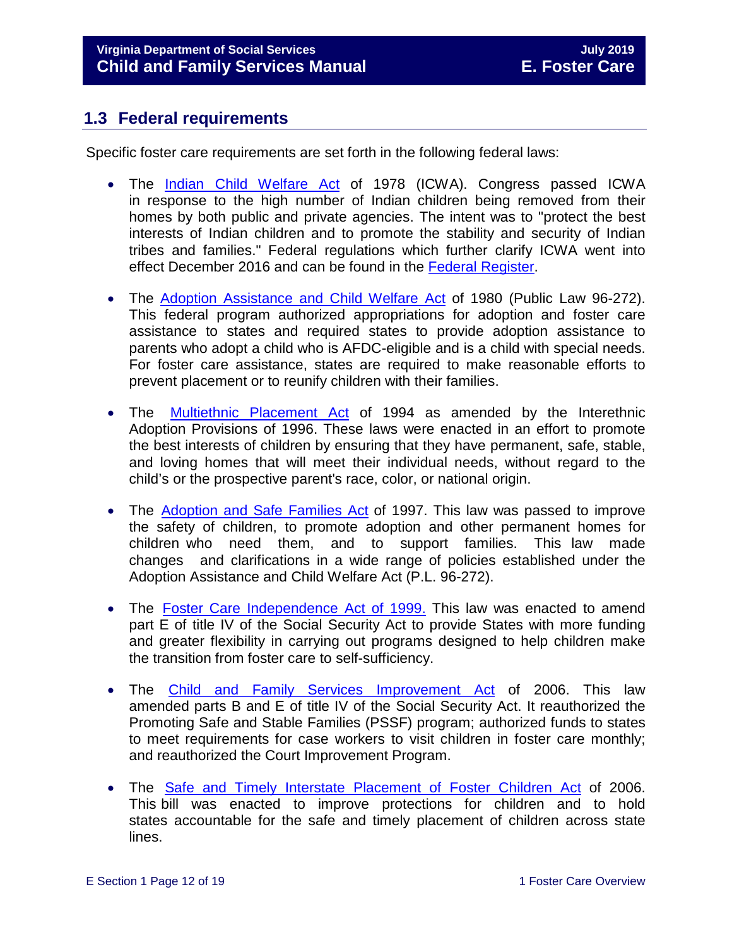# <span id="page-11-0"></span>**1.3 Federal requirements**

Specific foster care requirements are set forth in the following federal laws:

- The [Indian Child Welfare Act](http://www.nicwa.org/Indian_Child_Welfare_Act/) of 1978 (ICWA). Congress passed ICWA in response to the high number of Indian children being removed from their homes by both public and private agencies. The intent was to "protect the best interests of Indian children and to promote the stability and security of Indian tribes and families." Federal regulations which further clarify ICWA went into effect December 2016 and can be found in the [Federal Register.](https://www.gpo.gov/fdsys/pkg/FR-2016-06-14/pdf/2016-13686.pdf)
- The [Adoption Assistance and Child Welfare Act](https://www.ssa.gov/OP_Home/comp2/F096-272.html) of 1980 (Public Law 96-272). This federal program authorized appropriations for adoption and foster care assistance to states and required states to provide adoption assistance to parents who adopt a child who is AFDC-eligible and is a child with special needs. For foster care assistance, states are required to make reasonable efforts to prevent placement or to reunify children with their families.
- The [Multiethnic](http://laws.adoption.com/statutes/multiethnic-placement-act-mepa-of-1994.html) Placement Act of 1994 as amended by the Interethnic Adoption Provisions of 1996. These laws were enacted in an effort to promote the best interests of children by ensuring that they have permanent, safe, stable, and loving homes that will meet their individual needs, without regard to the child's or the prospective parent's race, color, or national origin.
- The [Adoption](http://laws.adoption.com/statutes/adoption-and-safe-families-act-asfa-of-1997.html) and Safe Families Act of 1997. This law was passed to improve the safety of children, to promote adoption and other permanent homes for children who need them, and to support families. This law made changes and clarifications in a wide range of policies established under the Adoption Assistance and Child Welfare Act (P.L. 96-272).
- The Foster Care [Independence](https://www.ssa.gov/legislation/legis_bulletin_112499.html) Act of 1999. This law was enacted to amend part E of title IV of the Social Security Act to provide States with more funding and greater flexibility in carrying out programs designed to help children make the transition from foster care to self-sufficiency.
- The Child and Family Services [Improvement](http://www.gpo.gov/fdsys/pkg/PLAW-109publ288/pdf/PLAW-109publ288.pdf) Act of 2006. This law amended parts B and E of title IV of the Social Security Act. It reauthorized the Promoting Safe and Stable Families (PSSF) program; authorized funds to states to meet requirements for case workers to visit children in foster care monthly; and reauthorized the Court Improvement Program.
- The Safe and Timely Interstate [Placement](https://www.gpo.gov/fdsys/pkg/PLAW-109publ239/content-detail.html) of Foster Children Act of 2006. This bill was enacted to improve protections for children and to hold states accountable for the safe and timely placement of children across state lines.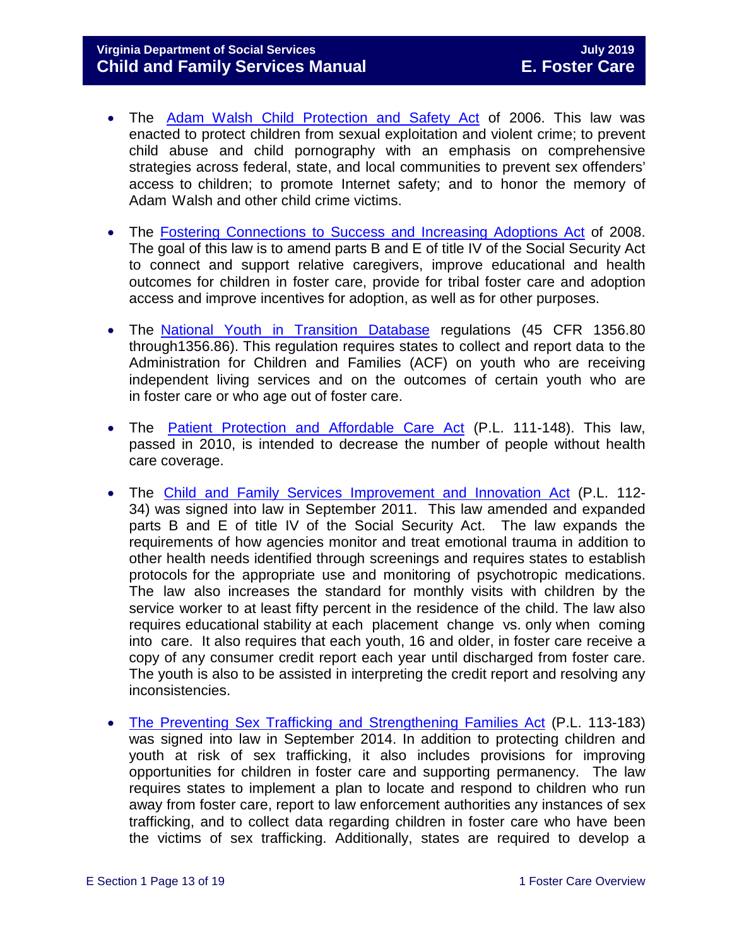## **Virginia Department of Social Services July 2019 Child and Family Services Manual**

- The Adam Walsh Child [Protection](http://www.gpo.gov/fdsys/pkg/PLAW-109publ248/pdf/PLAW-109publ248.pdf) and Safety Act of 2006. This law was enacted to protect children from sexual exploitation and violent crime; to prevent child abuse and child pornography with an emphasis on comprehensive strategies across federal, state, and local communities to prevent sex offenders' access to children; to promote Internet safety; and to honor the memory of Adam Walsh and other child crime victims.
- The [Fostering Connections to Success and Increasing Adoptions Act](https://www.ssa.gov/OP_Home/comp2/F110-351.html) of 2008. The goal of this law is to amend parts B and E of title IV of the Social Security Act to connect and support relative caregivers, improve educational and health outcomes for children in foster care, provide for tribal foster care and adoption access and improve incentives for adoption, as well as for other purposes.
- The National Youth in [Transition](http://edocket.access.gpo.gov/2008/pdf/E8-3050.pdf) Database regulations (45 CFR 1356.80 through1356.86). This regulation requires states to collect and report data to the Administration for Children and Families (ACF) on youth who are receiving independent living services and on the outcomes of certain youth who are in foster care or who age out of foster care.
- The Patient Protection and [Affordable](https://www.gpo.gov/fdsys/pkg/PLAW-111publ148/content-detail.html) Care Act (P.L. 111-148). This law, passed in 2010, is intended to decrease the number of people without health care coverage.
- The Child and Family Services [Improvement](https://www.gpo.gov/fdsys/pkg/PLAW-112publ34/content-detail.html) and Innovation Act (P.L. 112-34) was signed into law in September 2011. This law amended and expanded parts B and E of title IV of the Social Security Act. The law expands the requirements of how agencies monitor and treat emotional trauma in addition to other health needs identified through screenings and requires states to establish protocols for the appropriate use and monitoring of psychotropic medications. The law also increases the standard for monthly visits with children by the service worker to at least fifty percent in the residence of the child. The law also requires educational stability at each placement change vs. only when coming into care. It also requires that each youth, 16 and older, in foster care receive a copy of any consumer credit report each year until discharged from foster care. The youth is also to be assisted in interpreting the credit report and resolving any inconsistencies.
- [The Preventing Sex Trafficking and Strengthening Families Act](https://www.congress.gov/113/plaws/publ183/PLAW-113publ183.pdf) (P.L. 113-183) was signed into law in September 2014. In addition to protecting children and youth at risk of sex trafficking, it also includes provisions for improving opportunities for children in foster care and supporting permanency. The law requires states to implement a plan to locate and respond to children who run away from foster care, report to law enforcement authorities any instances of sex trafficking, and to collect data regarding children in foster care who have been the victims of sex trafficking. Additionally, states are required to develop a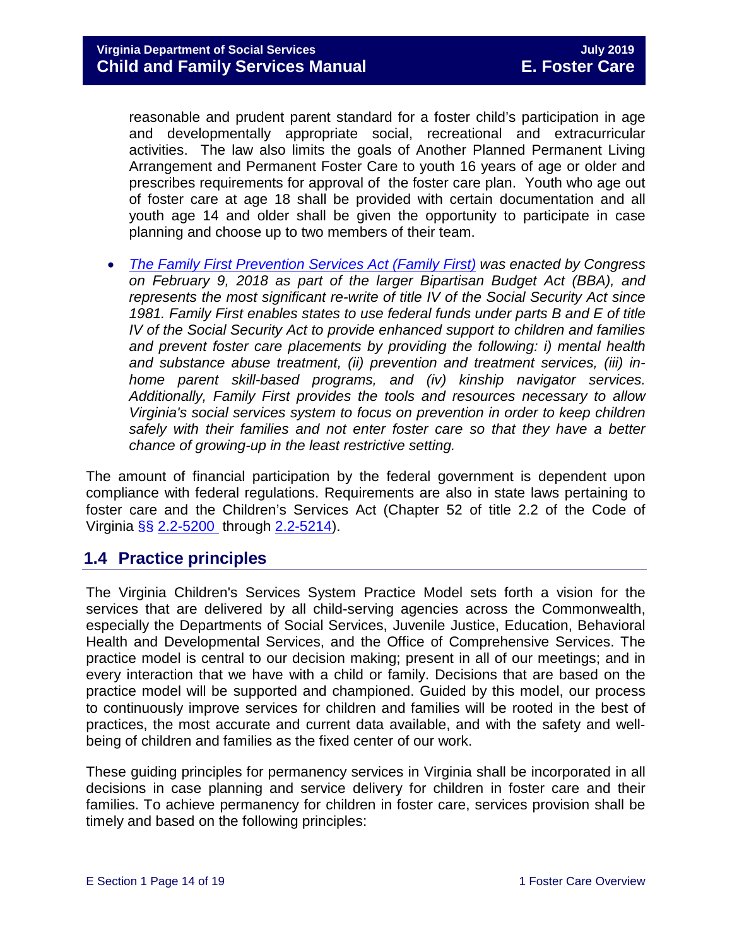reasonable and prudent parent standard for a foster child's participation in age and developmentally appropriate social, recreational and extracurricular activities. The law also limits the goals of Another Planned Permanent Living Arrangement and Permanent Foster Care to youth 16 years of age or older and prescribes requirements for approval of the foster care plan. Youth who age out of foster care at age 18 shall be provided with certain documentation and all youth age 14 and older shall be given the opportunity to participate in case planning and choose up to two members of their team.

• *[The Family First Prevention Services Act \(Family First\)](https://www.congress.gov/115/plaws/publ123/PLAW-115publ123.pdf) was enacted by Congress on February 9, 2018 as part of the larger Bipartisan Budget Act (BBA), and represents the most significant re-write of title IV of the Social Security Act since 1981. Family First enables states to use federal funds under parts B and E of title IV of the Social Security Act to provide enhanced support to children and families and prevent foster care placements by providing the following: i) mental health and substance abuse treatment, (ii) prevention and treatment services, (iii) inhome parent skill-based programs, and (iv) kinship navigator services. Additionally, Family First provides the tools and resources necessary to allow Virginia's social services system to focus on prevention in order to keep children safely with their families and not enter foster care so that they have a better chance of growing-up in the least restrictive setting.*

The amount of financial participation by the federal government is dependent upon compliance with federal regulations. Requirements are also in state laws pertaining to foster care and the Children's Services Act (Chapter 52 of title 2.2 of the Code of Virginia §§ [2.2-5200](http://law.lis.virginia.gov/vacode/2.2-5200/) through [2.2-5214\)](http://law.lis.virginia.gov/vacode/2.2-5214/).

# <span id="page-13-0"></span>**1.4 Practice principles**

The Virginia Children's Services System Practice Model sets forth a vision for the services that are delivered by all child-serving agencies across the Commonwealth, especially the Departments of Social Services, Juvenile Justice, Education, Behavioral Health and Developmental Services, and the Office of Comprehensive Services. The practice model is central to our decision making; present in all of our meetings; and in every interaction that we have with a child or family. Decisions that are based on the practice model will be supported and championed. Guided by this model, our process to continuously improve services for children and families will be rooted in the best of practices, the most accurate and current data available, and with the safety and wellbeing of children and families as the fixed center of our work.

These guiding principles for permanency services in Virginia shall be incorporated in all decisions in case planning and service delivery for children in foster care and their families. To achieve permanency for children in foster care, services provision shall be timely and based on the following principles: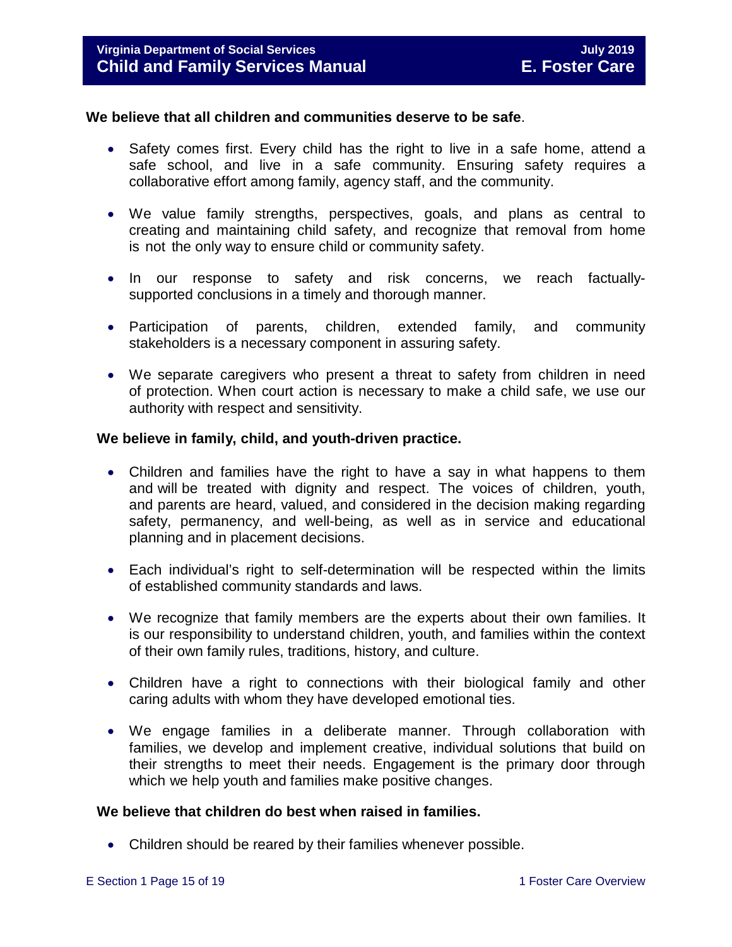#### **We believe that all children and communities deserve to be safe**.

- Safety comes first. Every child has the right to live in a safe home, attend a safe school, and live in a safe community. Ensuring safety requires a collaborative effort among family, agency staff, and the community.
- We value family strengths, perspectives, goals, and plans as central to creating and maintaining child safety, and recognize that removal from home is not the only way to ensure child or community safety.
- In our response to safety and risk concerns, we reach factuallysupported conclusions in a timely and thorough manner.
- Participation of parents, children, extended family, and community stakeholders is a necessary component in assuring safety.
- We separate caregivers who present a threat to safety from children in need of protection. When court action is necessary to make a child safe, we use our authority with respect and sensitivity.

#### **We believe in family, child, and youth-driven practice.**

- Children and families have the right to have a say in what happens to them and will be treated with dignity and respect. The voices of children, youth, and parents are heard, valued, and considered in the decision making regarding safety, permanency, and well-being, as well as in service and educational planning and in placement decisions.
- Each individual's right to self-determination will be respected within the limits of established community standards and laws.
- We recognize that family members are the experts about their own families. It is our responsibility to understand children, youth, and families within the context of their own family rules, traditions, history, and culture.
- Children have a right to connections with their biological family and other caring adults with whom they have developed emotional ties.
- We engage families in a deliberate manner. Through collaboration with families, we develop and implement creative, individual solutions that build on their strengths to meet their needs. Engagement is the primary door through which we help youth and families make positive changes.

### **We believe that children do best when raised in families.**

• Children should be reared by their families whenever possible.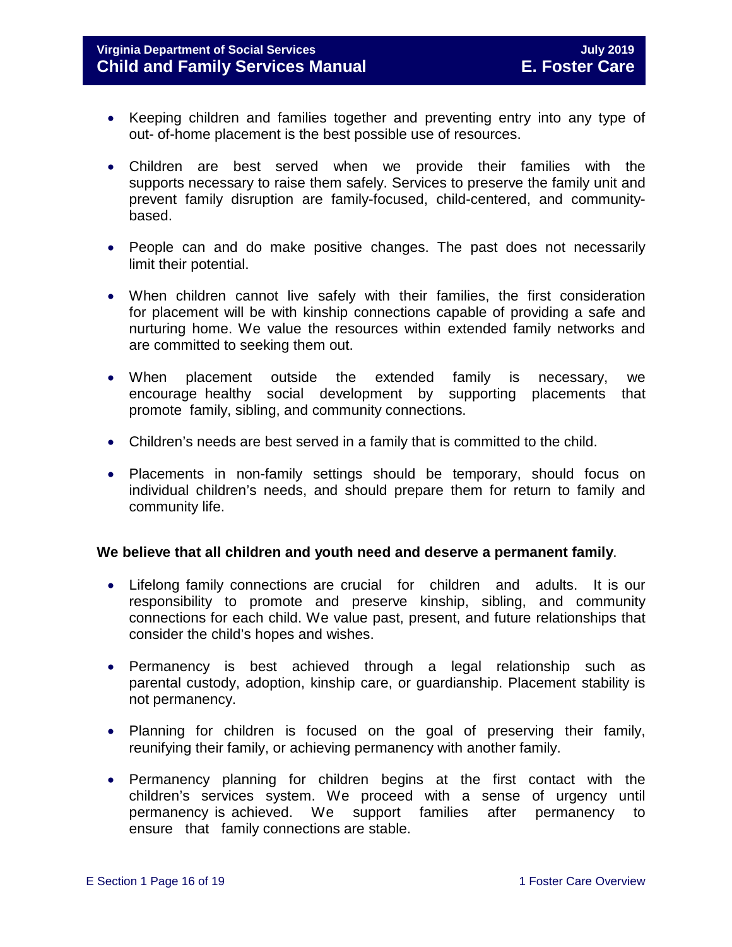- Keeping children and families together and preventing entry into any type of out- of-home placement is the best possible use of resources.
- Children are best served when we provide their families with the supports necessary to raise them safely. Services to preserve the family unit and prevent family disruption are family-focused, child-centered, and communitybased.
- People can and do make positive changes. The past does not necessarily limit their potential.
- When children cannot live safely with their families, the first consideration for placement will be with kinship connections capable of providing a safe and nurturing home. We value the resources within extended family networks and are committed to seeking them out.
- When placement outside the extended family is necessary, we encourage healthy social development by supporting placements that promote family, sibling, and community connections.
- Children's needs are best served in a family that is committed to the child.
- Placements in non-family settings should be temporary, should focus on individual children's needs, and should prepare them for return to family and community life.

### **We believe that all children and youth need and deserve a permanent family**.

- Lifelong family connections are crucial for children and adults. It is our responsibility to promote and preserve kinship, sibling, and community connections for each child. We value past, present, and future relationships that consider the child's hopes and wishes.
- Permanency is best achieved through a legal relationship such as parental custody, adoption, kinship care, or guardianship. Placement stability is not permanency.
- Planning for children is focused on the goal of preserving their family, reunifying their family, or achieving permanency with another family.
- Permanency planning for children begins at the first contact with the children's services system. We proceed with a sense of urgency until permanency is achieved. We support families after permanency to ensure that family connections are stable.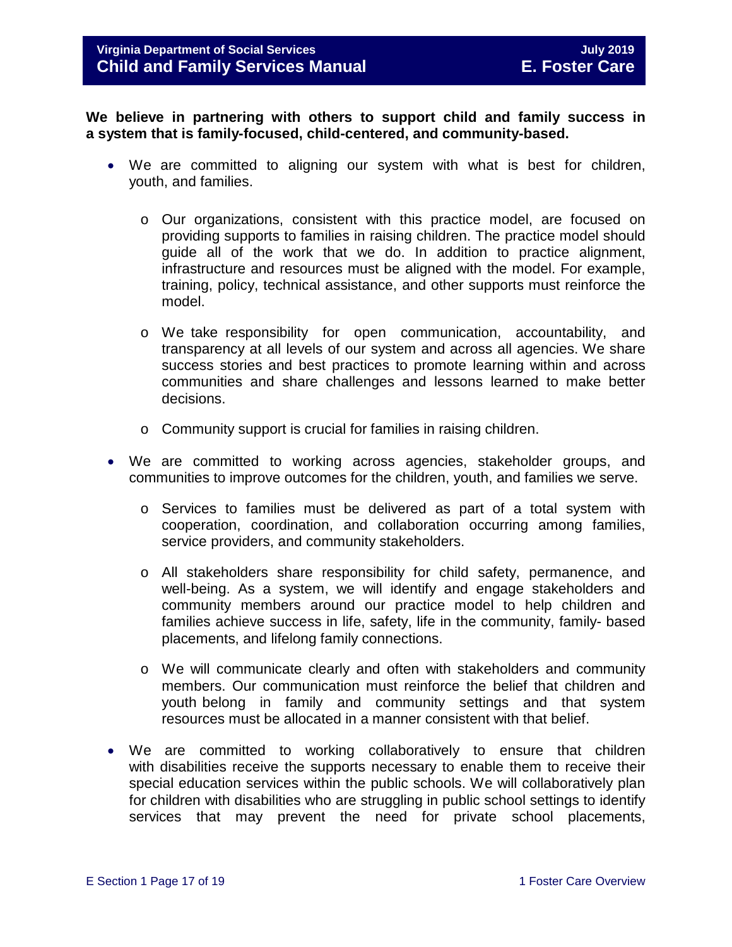**We believe in partnering with others to support child and family success in a system that is family-focused, child-centered, and community-based.**

- We are committed to aligning our system with what is best for children, youth, and families.
	- o Our organizations, consistent with this practice model, are focused on providing supports to families in raising children. The practice model should guide all of the work that we do. In addition to practice alignment, infrastructure and resources must be aligned with the model. For example, training, policy, technical assistance, and other supports must reinforce the model.
	- o We take responsibility for open communication, accountability, and transparency at all levels of our system and across all agencies. We share success stories and best practices to promote learning within and across communities and share challenges and lessons learned to make better decisions.
	- o Community support is crucial for families in raising children.
- We are committed to working across agencies, stakeholder groups, and communities to improve outcomes for the children, youth, and families we serve.
	- o Services to families must be delivered as part of a total system with cooperation, coordination, and collaboration occurring among families, service providers, and community stakeholders.
	- o All stakeholders share responsibility for child safety, permanence, and well-being. As a system, we will identify and engage stakeholders and community members around our practice model to help children and families achieve success in life, safety, life in the community, family- based placements, and lifelong family connections.
	- o We will communicate clearly and often with stakeholders and community members. Our communication must reinforce the belief that children and youth belong in family and community settings and that system resources must be allocated in a manner consistent with that belief.
- We are committed to working collaboratively to ensure that children with disabilities receive the supports necessary to enable them to receive their special education services within the public schools. We will collaboratively plan for children with disabilities who are struggling in public school settings to identify services that may prevent the need for private school placements,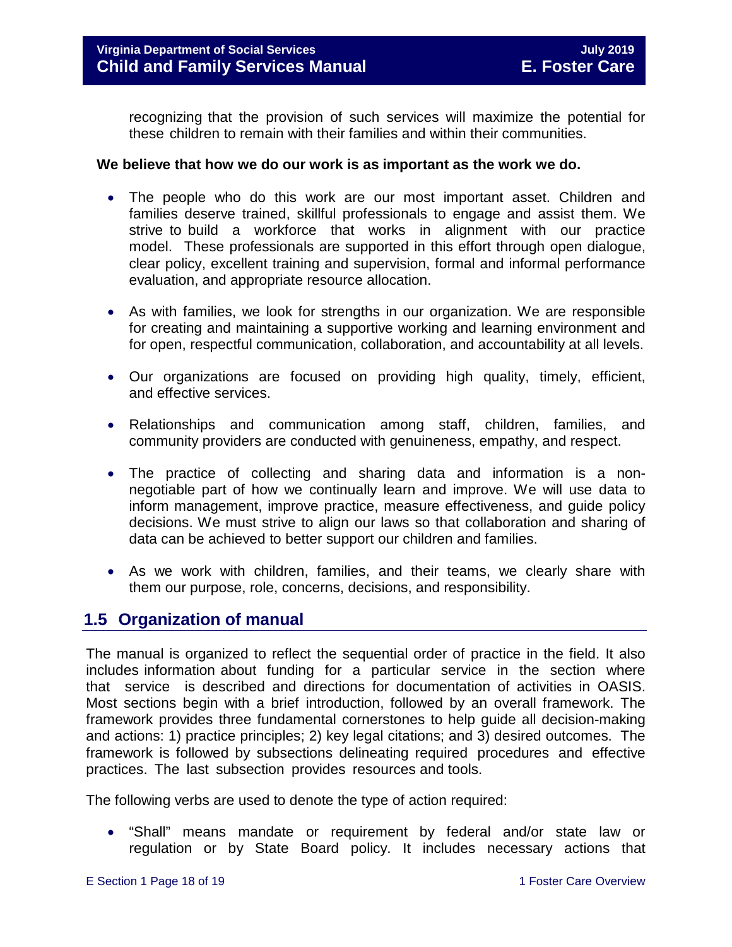recognizing that the provision of such services will maximize the potential for these children to remain with their families and within their communities.

#### **We believe that how we do our work is as important as the work we do.**

- The people who do this work are our most important asset. Children and families deserve trained, skillful professionals to engage and assist them. We strive to build a workforce that works in alignment with our practice model. These professionals are supported in this effort through open dialogue, clear policy, excellent training and supervision, formal and informal performance evaluation, and appropriate resource allocation.
- As with families, we look for strengths in our organization. We are responsible for creating and maintaining a supportive working and learning environment and for open, respectful communication, collaboration, and accountability at all levels.
- Our organizations are focused on providing high quality, timely, efficient, and effective services.
- Relationships and communication among staff, children, families, and community providers are conducted with genuineness, empathy, and respect.
- The practice of collecting and sharing data and information is a nonnegotiable part of how we continually learn and improve. We will use data to inform management, improve practice, measure effectiveness, and guide policy decisions. We must strive to align our laws so that collaboration and sharing of data can be achieved to better support our children and families.
- As we work with children, families, and their teams, we clearly share with them our purpose, role, concerns, decisions, and responsibility.

## <span id="page-17-0"></span>**1.5 Organization of manual**

The manual is organized to reflect the sequential order of practice in the field. It also includes information about funding for a particular service in the section where that service is described and directions for documentation of activities in OASIS. Most sections begin with a brief introduction, followed by an overall framework. The framework provides three fundamental cornerstones to help guide all decision-making and actions: 1) practice principles; 2) key legal citations; and 3) desired outcomes. The framework is followed by subsections delineating required procedures and effective practices. The last subsection provides resources and tools.

The following verbs are used to denote the type of action required:

• "Shall" means mandate or requirement by federal and/or state law or regulation or by State Board policy. It includes necessary actions that